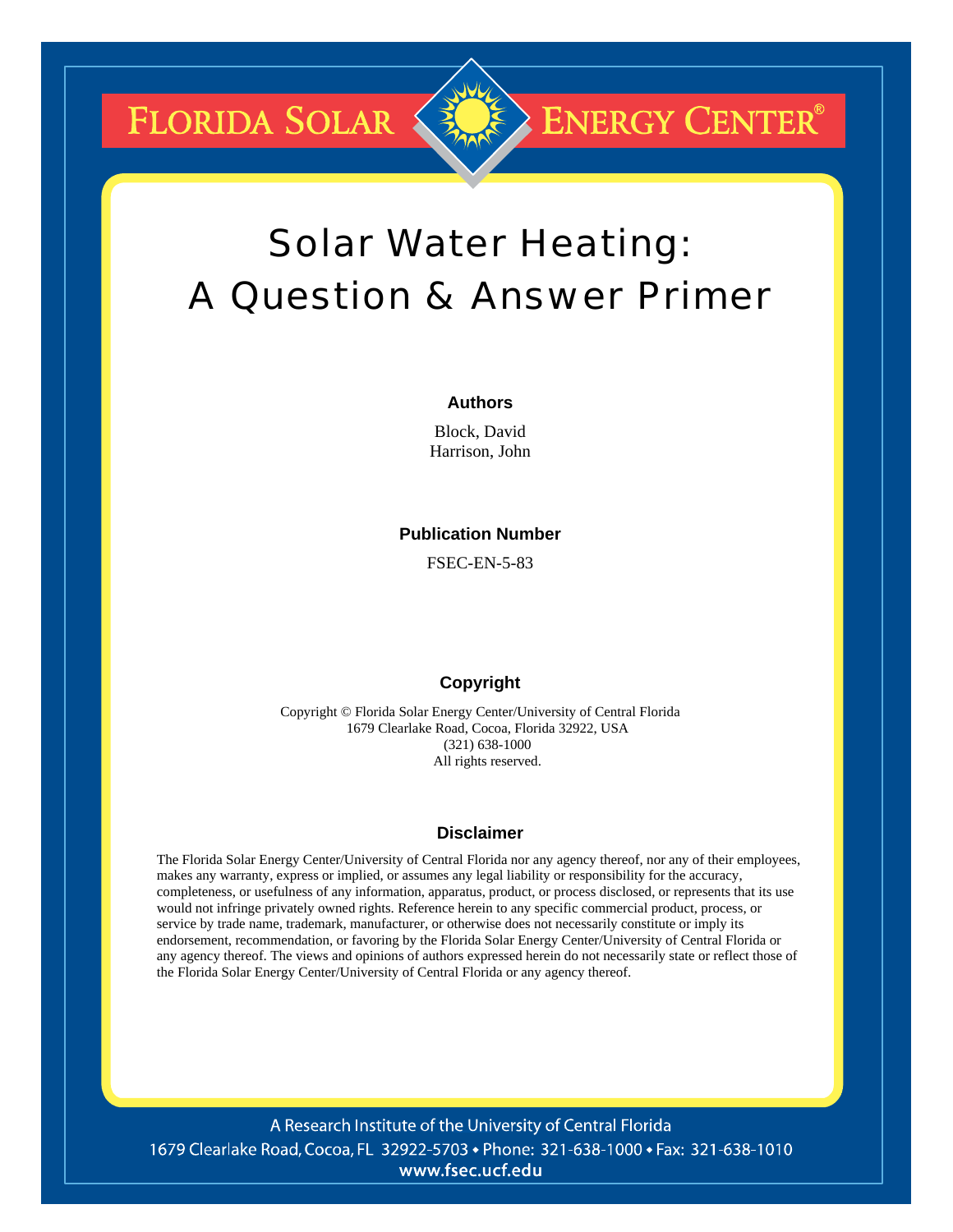FLORIDA SOLAR

# Solar Water Heating: A Question & Answer Primer

**ENERGY CENTER®** 

#### **Authors**

Block, David Harrison, John

#### **Publication Number**

FSEC-EN-5-83

### **Copyright**

Copyright © Florida Solar Energy Center/University of Central Florida 1679 Clearlake Road, Cocoa, Florida 32922, USA (321) 638-1000 All rights reserved.

### **Disclaimer**

The Florida Solar Energy Center/University of Central Florida nor any agency thereof, nor any of their employees, makes any warranty, express or implied, or assumes any legal liability or responsibility for the accuracy, completeness, or usefulness of any information, apparatus, product, or process disclosed, or represents that its use would not infringe privately owned rights. Reference herein to any specific commercial product, process, or service by trade name, trademark, manufacturer, or otherwise does not necessarily constitute or imply its endorsement, recommendation, or favoring by the Florida Solar Energy Center/University of Central Florida or any agency thereof. The views and opinions of authors expressed herein do not necessarily state or reflect those of the Florida Solar Energy Center/University of Central Florida or any agency thereof.

A Research Institute of the University of Central Florida 1679 Clearlake Road, Cocoa, FL 32922-5703 • Phone: 321-638-1000 • Fax: 321-638-1010 www.fsec.ucf.edu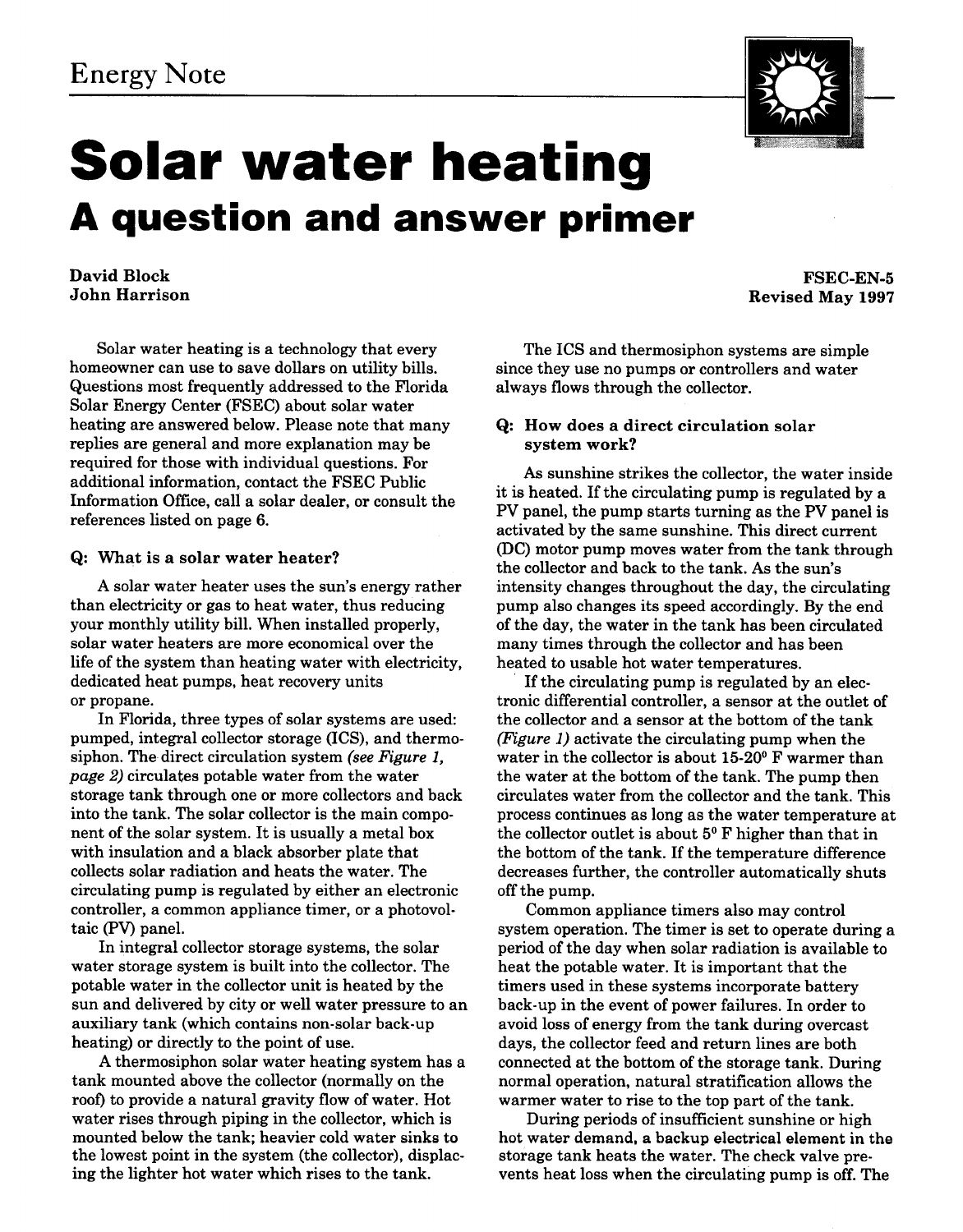

David Block John Harrison

Solar water heating is a technology that every homeowner can use to save dollars on utility bills. Questions most frequently addressed to the Florida Solar Energy Center (FSEC) about solar water heating are answered below. Please note that many replies are general and more explanation may be required for those with individual questions. For additional information, contact the FSEC Public Information Office, call a solar dealer, or consult the references listed on page 6.

#### Q: What is a solar water heater?

A solar water heater uses the sun's energy rather than electricity or gas to heat water, thus reducing your monthly utility bill. When installed properly, solar water heaters are more economical over the life of the system than heating water with electricity, dedicated heat pumps, heat recovery units or propane.

In Florida, three types of solar systems are used: pumped, integral collector storage (ICS), and thermosiphon. The direct circulation system *(see Figure 1, page 2)* circulates potable water from the water storage tank through one or more collectors and back into the tank. The solar collector is the main component of the solar system. It is usually a metal box with insulation and a black absorber plate that collects solar radiation and heats the water. The circulating pump is regulated by either an electronic controller, a common appliance timer, or a photovoltaic (PV) panel.

In integral collector storage systems, the solar water storage system is built into the collector. The potable water in the collector unit is heated by the sun and delivered by city or well water pressure to an auxiliary tank (which contains non-solar back-up heating) or directly to the point of use.

A thermosiphon solar water heating system has a tank mounted above the collector (normally on the roof) to provide a natural gravity flow of water. Hot water rises through piping in the collector, which is mounted below the tank; heavier cold water sinks to the lowest point in the system (the collector), displacing the lighter hot water which rises to the tank.



Revised May 1997

The ICS and thermosiphon systems are simple since they use no pumps or controllers and water always flows through the collector.

#### Q: How does a direct circulation solar system work?

As sunshine strikes the collector, the water inside it is heated. If the circulating pump is regulated by a **PV** panel, the pump starts turning as the **PV** panel is activated by the same sunshine. This direct current PC) motor pump moves water from the tank through the collector and back to the tank. As the sun's intensity changes throughout the day, the circulating pump also changes its speed accordingly. By the end of the day, the water in the tank has been circulated many times through the collector and has been heated to usable hot water temperatures.

If the circulating pump is regulated by an electronic differential controller, a sensor at the outlet of the collector and a sensor at the bottom of the tank *(Figure 1)* activate the circulating pump when the water in the collector is about **15-20°** F warmer than the water at the bottom of the tank. The pump then circulates water from the collector and the tank. This process continues as long as the water temperature at the collector outlet is about 5<sup>°</sup>F higher than that in the bottom of the tank. If the temperature difference decreases further, the controller automatically shuts off the pump.

Common appliance timers also may control system operation. The timer is set to operate during a period of the day when solar radiation is available to heat the potable water. It is important that the timers used in these systems incorporate battery back-up in the event of power failures. In order to avoid loss of energy from the tank during overcast days, the collector feed and return lines are both connected at the bottom of the storage tank. During normal operation, natural stratification allows the warmer water to rise to the top part of the tank.

During periods of insufficient sunshine or high hot water demand, a backup electrical element in the storage tank heats the water. The check valve prevents heat loss when the circulating pump is off. The

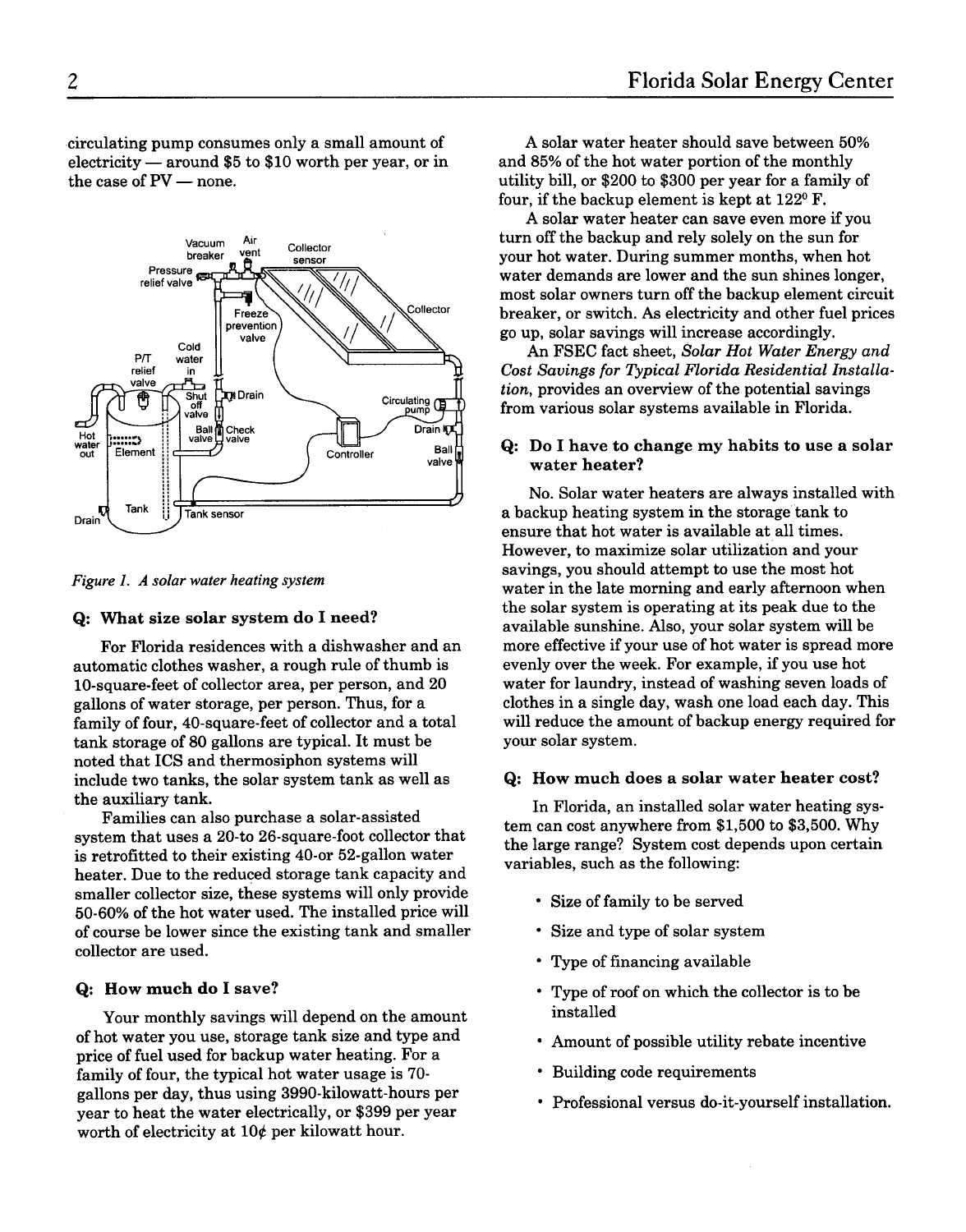circulating pump consumes only a small amount of eirculating pump consumes only a small amount of<br>electricity — around \$5 to \$10 worth per year, or in electricity — around \$5 to \$10 worth per year, or in<br>the case of  $PV$  — none.



#### **Q:** What size solar system do I need?

For Florida residences with a dishwasher and an automatic clothes washer, a rough rule of thumb is 10-square-feet of collector area, per person, and 20 gallons of water storage, per person. Thus, for a family of four, 40-square-feet of collector and a total tank storage of 80 gallons are typical. It must be noted that ICS and thermosiphon systems will include two tanks, the solar system tank as well as the auxiliary tank.

Families can also purchase a solar-assisted system that uses a 20-to 26-square-foot collector that is retrofitted to their existing 40-or 52-gallon water heater. Due to the reduced storage tank capacity and smaller collector size, these systems will only provide 50-60% of the hot water used. The installed price will of course be lower since the existing tank and smaller collector are used.

#### **Q:** How much do I save?

Your monthly savings will depend on the amount of hot water you use, storage tank size and type and price of fuel used for backup water heating. For a family of four, the typical hot water usage is 70 gallons per day, thus using 3990-kilowatt-hours per year to heat the water electrically, or \$399 per year worth of electricity at  $10¢$  per kilowatt hour.

A solar water heater should save between 50% and 85% of the hot water portion of the monthly utility bill, or \$200 to \$300 per year for a family of four, if the backup element is kept at  $122^{\circ}$  F.

A solar water heater can save even more if you turn off the backup and rely solely on the sun for your hot water. During summer months, when hot water demands are lower and the sun shines longer, most solar owners turn off the backup element circuit breaker, or switch. As electricity and other fuel prices go up, solar savings will increase accordingly.

An FSEC fact sheet, Solar Hot Water Energy and Cost Savings for Typical Florida Residential Installation, provides an overview of the potential savings from various solar systems available in Florida.

#### **Q:** Do **I** have to change my habits to use a solar water heater?

No. Solar water heaters are always installed with a backup heating system in the storage tank to ensure that hot water is available at all times. However, to maximize solar utilization and your savings, you should attempt to use the most hot water in the late morning and early afternoon when the solar system is operating at its peak due to the available sunshine. Also, your solar system will be more effective if your use of hot water is spread more evenly over the week. For example, if you use hot water for laundry, instead of washing seven loads of clothes in a single day, wash one load each day. This will reduce the amount of backup energy required for your solar system.

#### **Q:** How much does a solar water heater cost?

In Florida, an installed solar water heating system can cost anywhere from \$1,500 to \$3,500. Why the large range? System cost depends upon certain variables, such as the following:

- Size of family to be served
- Size and type of solar system
- Type of financing available
- Type of roof on which the collector is to be installed
- Amount of possible utility rebate incentive
- Building code requirements
- Professional versus do-it-yourself installation.

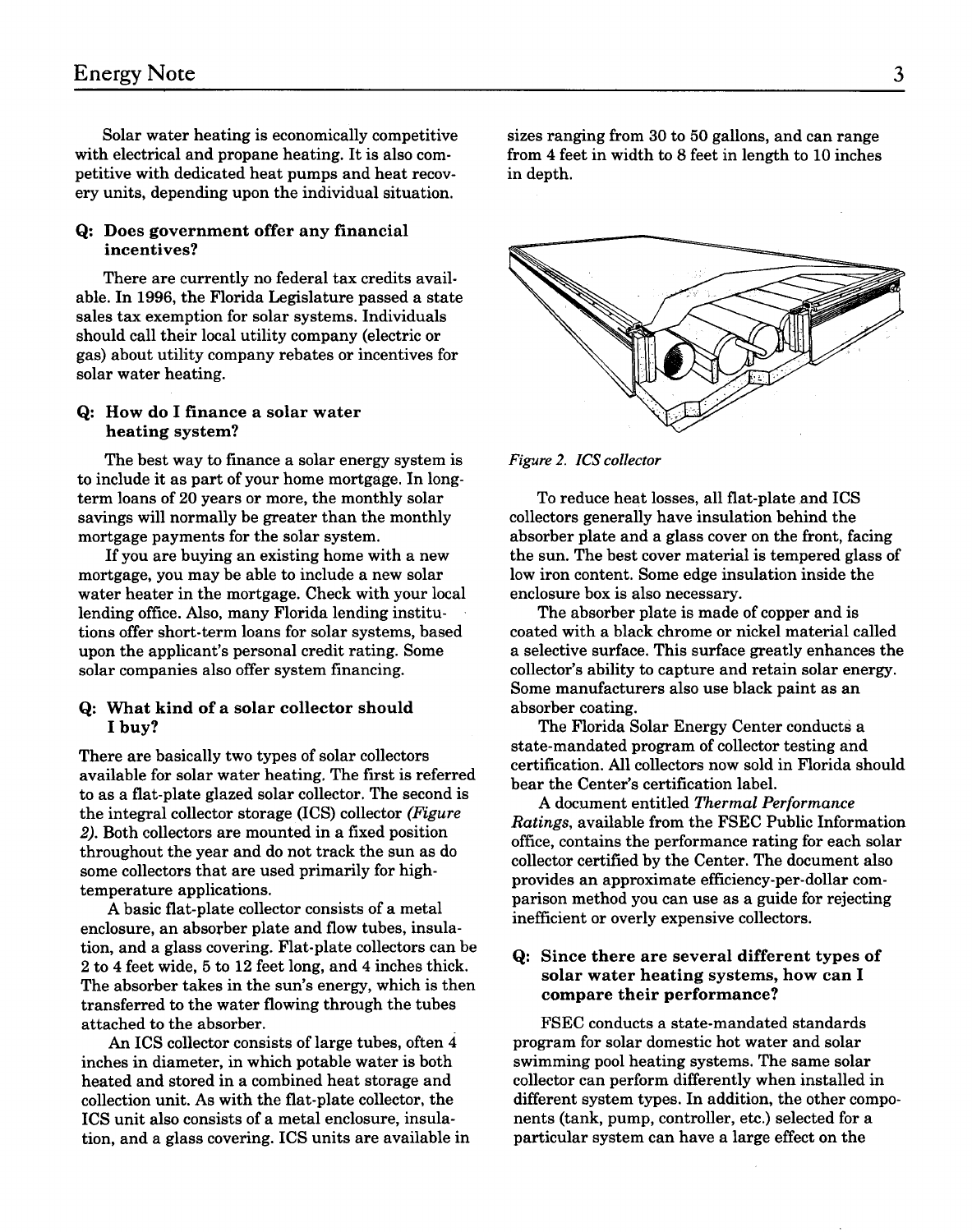Solar water heating is economically competitive with electrical and propane heating. It is also competitive with dedicated heat pumps and heat recovery units, depending upon the individual situation.

#### **Q:** Does government offer any financial incentives?

There are currently no federal tax credits available. In 1996, the Florida Legislature passed a state sales tax exemption for solar systems. Individuals should call their local utility company (electric or gas) about utility company rebates or incentives for solar water heating.

#### **Q:** How do **I** finance a solar water heating system?

The best way to finance a solar energy system is to include it as part of your home mortgage. In longterm loans of 20 years or more, the monthly solar savings will normally be greater than the monthly mortgage payments for the solar system.

If you are buying an existing home with a new mortgage, you may be able to include a new solar water heater in the mortgage. Check with your local lending office. Also, many Florida lending institutions offer short-term loans for solar systems, based upon the applicant's personal credit rating. Some solar companies also offer system financing.

#### **Q:** What kind of a solar collector should I buy?

There are basically two types of solar collectors available for solar water heating, The first is referred to as a flat-plate glazed solar collector. The second is the integral collector storage (ICS) collector (Figure 2). Both collectors are mounted in a fixed position throughout the year and do not track the sun as do some collectors that are used primarily for hightemperature applications.

A basic flat-plate collector consists of a metal enclosure, an absorber plate and flow tubes, insulation, and a glass covering. Flat-plate collectors can be 2 to 4 feet wide, 5 to 12 feet long, and 4 inches thick. The absorber takes in the sun's energy, which is then transferred to the water flowing through the tubes attached to the absorber.

An ICS collector consists of large tubes, often 4 inches in diameter, in which potable water is both heated and stored in a combined heat storage and collection unit. As with the flat-plate collector, the ICS unit also consists of a metal enclosure, insulation, and a glass covering. ICS units are available in

sizes ranging from 30 to 50 gallons, and can range from 4 feet in width to 8 feet in length to 10 inches in depth.



#### Figwe 2. ICS collector

To reduce heat losses, all flat-plate and ICS collectors generally have insulation behind the absorber plate and a glass cover on the front, facing the sun. The best cover material is tempered glass of low iron content. Some edge insulation inside the enclosure box is also necessary.

The absorber plate is made of copper and is coated with a black chrome or nickel material called a selective surface. This surface greatly enhances the collector's ability to capture and retain solar energy. Some manufacturers also use black paint as an absorber coating.

The Florida Solar Energy Center conducts a state-mandated program of collector testing and certification. All collectors now sold in Florida should bear the Center's certification label.

A document entitled Thermal Performance Ratings, available from the FSEC Public Information office, contains the performance rating for each solar collector certified by the Center. The document also provides an approximate efficiency-per-dollar comparison method you can use as a guide for rejecting inefficient or overly expensive collectors.

#### **Q:** Since there are several different types of solar water heating systems, how can I compare their performance?

FSEC conducts a state-mandated standards program for solar domestic hot water and solar swimming pool heating systems. The same solar collector can perform differently when installed in different system types. In addition, the other components (tank, pump, controller, etc.) selected for a particular system can have a large effect on the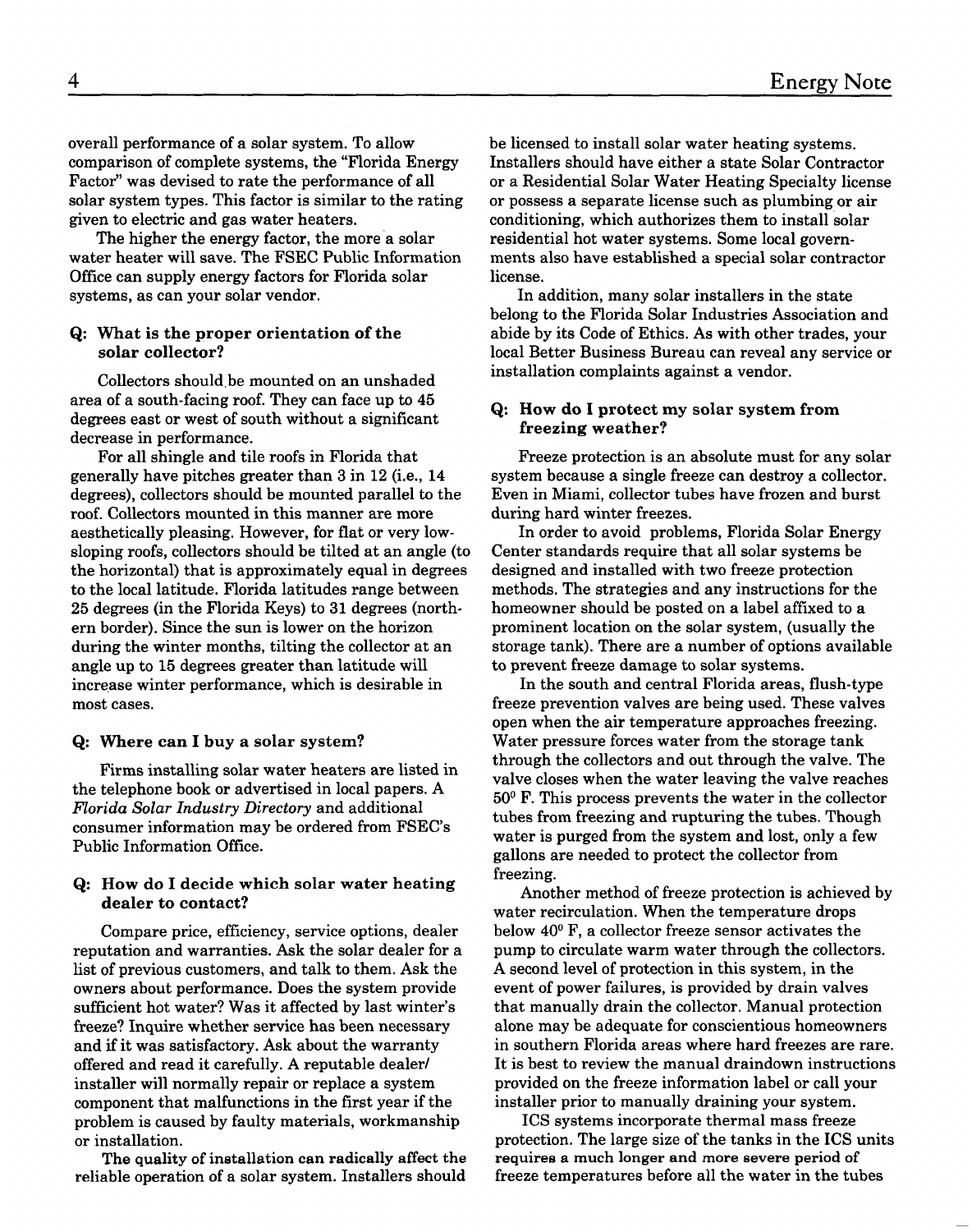overall performance of a solar system. To allow comparison of complete systems, the "Florida Energy Factor" was devised to rate the performance of all solar system types. This factor is similar to the rating given to electric and gas water heaters.

The higher the energy factor, the more a solar water heater will save. The FSEC Public Information Office can supply energy factors for Florida solar systems, as can your solar vendor.

#### Q: What is the proper orientation of the solar collector?

Collectors should be mounted on an unshaded area of a south-facing roof. They can face up to 45 degrees east or west of south without a significant decrease in performance.

For all shingle and tile roofs in Florida that generally have pitches greater than 3 in 12 (i.e., 14 degrees), collectors should be mounted parallel to the roof. Collectors mounted in this manner are more aesthetically pleasing. However, for flat or very lowsloping roofs, collectors should be tilted at an angle (to the horizontal) that is approximately equal in degrees to the local latitude. Florida latitudes range between 25 degrees (in the Florida Keys) to 31 degrees (northern border). Since the sun is lower on the horizon during the winter months, tilting the collector at an angle up to 15 degrees greater than latitude will increase winter performance, which is desirable in most cases.

#### Q: Where can I buy a solar system?

Firms installing solar water heaters are listed in the telephone book or advertised in local papers. A Florida Solar Industry Directory and additional consumer information may be ordered from FSEC's Public Information Office.

#### Q: How do I decide which solar water heating dealer to contact?

Compare price, efficiency, service options, dealer reputation and warranties. Ask the solar dealer for a list of previous customers, and talk to them. Ask the owners about performance. Does the system provide sufficient hot water? Was it affected by last winter's freeze? Inquire whether service has been necessary and if it was satisfactory. Ask about the warranty offered and read it carefully. A reputable dealer/ installer will normally repair or replace a system component that malfunctions in the first year if the problem is caused by faulty materials, workmanship or installation.

**The quality of installation can radically affect the**  reliable operation of a solar system. Installers should

be licensed to install solar water heating systems. Installers should have either a state Solar Contractor or a Residential Solar Water Heating Specialty license or possess a separate license such as plumbing or air conditioning, which authorizes them to install solar residential hot water systems. Some local governments also have established a special solar contractor license.

In addition, many solar installers in the state belong to the Florida Solar Industries Association and abide by its Code of Ethics. As with other trades, your local Better Business Bureau can reveal any service or installation complaints against a vendor.

#### Q: How do I protect my solar system from freezing weather?

Freeze protection is an absolute must for any solar system because a single freeze can destroy a collector. Even in Miami, collector tubes have frozen and burst during hard winter freezes.

In order to avoid problems, Florida Solar Energy Center standards require that all solar systems be designed and installed with two freeze protection methods. The strategies and any instructions for the homeowner should be posted on a label affixed to a prominent location on the solar system, (usually the storage tank). There are a number of options available to prevent freeze damage to solar systems.

In the south and central Florida areas, flush-type freeze prevention valves are being used. These valves open when the air temperature approaches freezing. Water pressure forces water from the storage tank through the collectors and out through the valve. The valve closes when the water leaving the valve reaches 50° F. This process prevents the water in the collector tubes from freezing and rupturing the tubes. Though water is purged from the system and lost, only a few gallons are needed to protect the collector from freezing.

Another method of freeze protection is achieved by water recirculation. When the temperature drops below 40° F, a collector freeze sensor activates the pump to circulate warm water through the collectors. A second level of protection in this system, in the event of power failures, is provided by drain valves that manually drain the collector. Manual protection alone may be adequate for conscientious homeowners in southern Florida areas where hard freezes are rare. It is best to review the manual draindown instructions provided on the freeze information label or call your installer prior to manually draining your system.

ICS systems incorporate thermal mass freeze protection. The large size of the tanks in the ICS units **require8 a much longer and more severe period of**  freeze temperatures before all the water in the tubes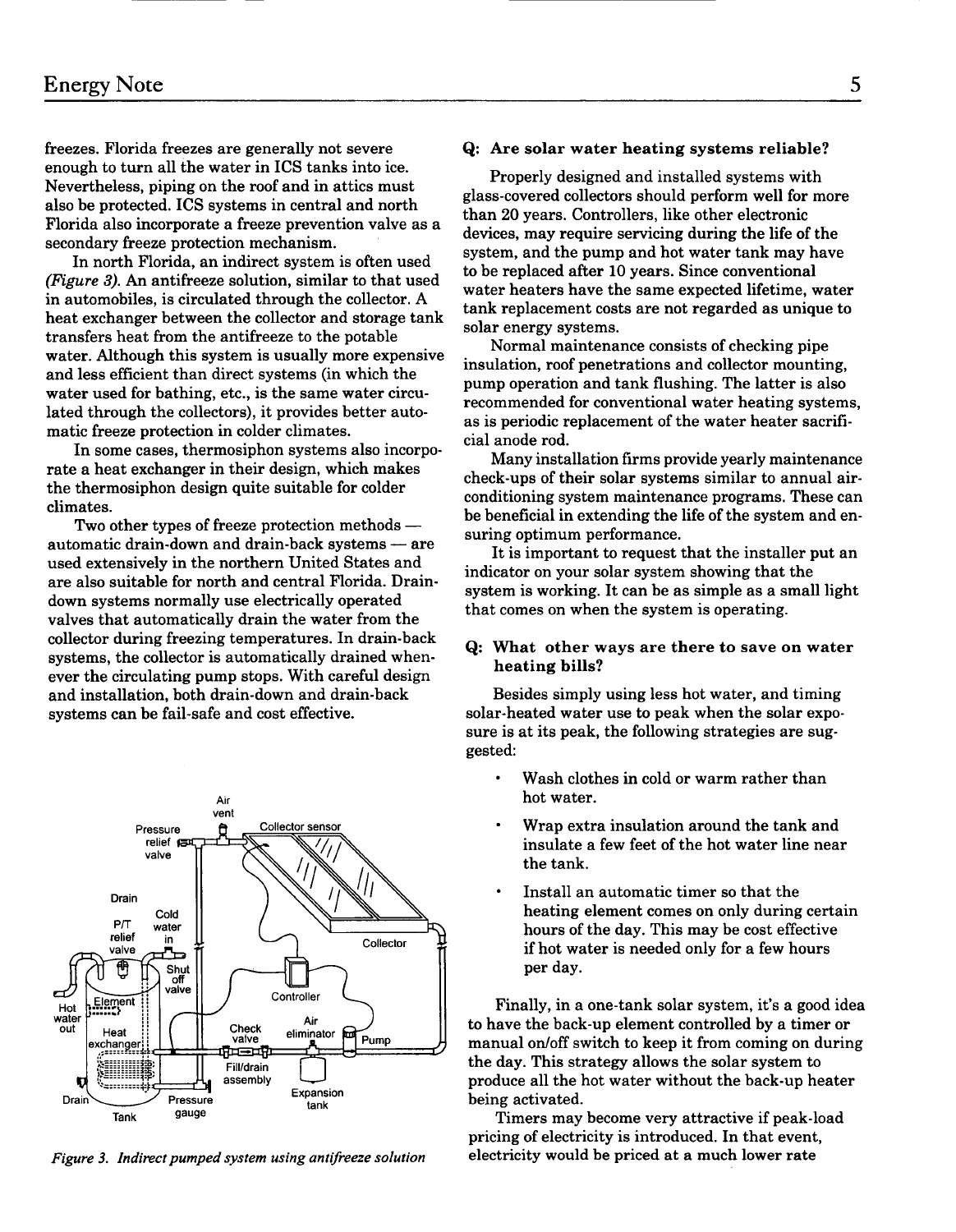freezes. Florida freezes are generally not severe **Q:** Are solar water heating systems reliable? enough to turn all the water in ICS tanks into ice. Nevertheless, piping on the roof and in attics must also be protected. ICS systems in central and north Florida also incorporate a freeze prevention valve as a secondary freeze protection mechanism.

In north Florida, an indirect system is often used (Figure 3). An antifreeze solution, similar to that used in automobiles, is circulated through the collector. A heat exchanger between the collector and storage tank transfers heat from the antifreeze to the potable water. Although this system is usually more expensive and less efficient than direct systems (in which the water used for bathing, etc., is the same water circulated through the collectors), it provides better automatic freeze protection in colder climates.

In some cases, thermosiphon systems also incorporate a heat exchanger in their design, which makes the thermosiphon design quite suitable for colder climates.

Two other types of freeze protection methods automatic drain-down and drain-back systems  $-$  are used extensively in the northern United States and are also suitable for north and central Florida. Draindown systems normally use electrically operated valves that automatically drain the water from the collector during freezing temperatures. In drain-back systems, the collector is automatically drained whenever the circulating pump stops. With careful design and installation, both drain-down and drain-back systems can be fail-safe and cost effective.



*Figure 3. Indirect pumped system using antifreeze solution* 

Properly designed and installed systems with glass-covered collectors should perform well for more than 20 years. Controllers, like other electronic devices, may require servicing during the life of the system, and the pump and hot water tank may have to be replaced after 10 years. Since conventional water heaters have the same expected lifetime, water tank replacement costs are not regarded as unique to solar energy systems.

Normal maintenance consists of checking pipe insulation, roof penetrations and collector mounting, pump operation and tank flushing. The latter is also recommended for conventional water heating systems, as is periodic replacement of the water heater sacrificial anode rod.

Many installation firms provide yearly maintenance check-ups of their solar systems similar to annual airconditioning system maintenance programs. These can be beneficial in extending the life of the system and ensuring optimum performance.

It is important to request that the installer put an indicator on your solar system showing that the system is working. It can be as simple as a small light that comes on when the system is operating.

#### **Q:** What other ways are there to save on water heating bills?

Besides simply using less hot water, and timing solar-heated water use to peak when the solar exposure is at its peak, the following strategies are suggested:

- Wash clothes in cold or warm rather than hot water.
- Wrap extra insulation around the tank and insulate a few feet of the hot water line near the tank.
- Install an automatic timer so that the heating element comes on only during certain hours of the day. This may be cost effective if hot water is needed only for a few hours per day.

Finally, in a one-tank solar system, it's a good idea to have the back-up element controlled by a timer or manual on/off switch to keep it from coming on during the day. This strategy allows the solar system to produce all the hot water without the back-up heater being activated.

Timers may become very attractive if peak-load pricing of electricity is introduced. In that event, electricity would be priced at a much lower rate